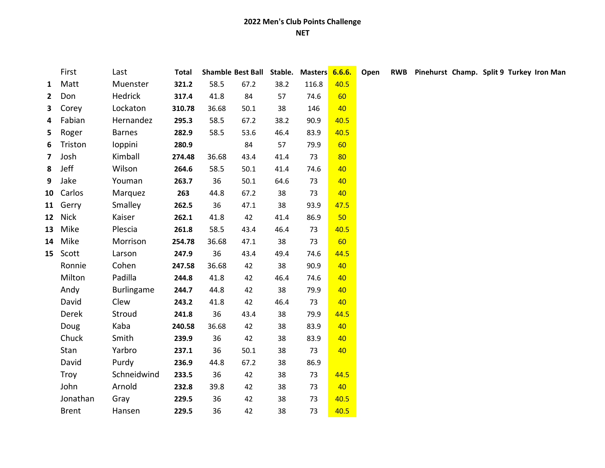|                | First        | Last          | Total  |       | Shamble Best Ball Stable. |      | Masters 6.6.6. |      | Open |  |  |  |  |  |  |  |  |  |  | RWB Pinehurst Champ. Split 9 Turkey Iron Man |
|----------------|--------------|---------------|--------|-------|---------------------------|------|----------------|------|------|--|--|--|--|--|--|--|--|--|--|----------------------------------------------|
| $\mathbf{1}$   | Matt         | Muenster      | 321.2  | 58.5  | 67.2                      | 38.2 | 116.8          | 40.5 |      |  |  |  |  |  |  |  |  |  |  |                                              |
| $\mathbf{2}$   | Don          | Hedrick       | 317.4  | 41.8  | 84                        | 57   | 74.6           | 60   |      |  |  |  |  |  |  |  |  |  |  |                                              |
|                | 3 Corey      | Lockaton      | 310.78 | 36.68 | 50.1                      | 38   | 146            | 40   |      |  |  |  |  |  |  |  |  |  |  |                                              |
| 4              | Fabian       | Hernandez     | 295.3  | 58.5  | 67.2                      | 38.2 | 90.9           | 40.5 |      |  |  |  |  |  |  |  |  |  |  |                                              |
| 5              | Roger        | <b>Barnes</b> | 282.9  | 58.5  | 53.6                      | 46.4 | 83.9           | 40.5 |      |  |  |  |  |  |  |  |  |  |  |                                              |
| 6              | Triston      | loppini       | 280.9  |       | 84                        | 57   | 79.9           | 60   |      |  |  |  |  |  |  |  |  |  |  |                                              |
| $\overline{7}$ | Josh         | Kimball       | 274.48 | 36.68 | 43.4                      | 41.4 | 73             | 80   |      |  |  |  |  |  |  |  |  |  |  |                                              |
| 8              | Jeff         | Wilson        | 264.6  | 58.5  | 50.1                      | 41.4 | 74.6           | 40   |      |  |  |  |  |  |  |  |  |  |  |                                              |
| 9              | Jake         | Youman        | 263.7  | 36    | 50.1                      | 64.6 | 73             | 40   |      |  |  |  |  |  |  |  |  |  |  |                                              |
|                | 10 Carlos    | Marquez       | 263    | 44.8  | 67.2                      | 38   | 73             | 40   |      |  |  |  |  |  |  |  |  |  |  |                                              |
|                | 11 Gerry     | Smalley       | 262.5  | 36    | 47.1                      | 38   | 93.9           | 47.5 |      |  |  |  |  |  |  |  |  |  |  |                                              |
|                | 12 Nick      | Kaiser        | 262.1  | 41.8  | 42                        | 41.4 | 86.9           | 50   |      |  |  |  |  |  |  |  |  |  |  |                                              |
|                | 13 Mike      | Plescia       | 261.8  | 58.5  | 43.4                      | 46.4 | 73             | 40.5 |      |  |  |  |  |  |  |  |  |  |  |                                              |
|                | 14 Mike      | Morrison      | 254.78 | 36.68 | 47.1                      | 38   | 73             | 60   |      |  |  |  |  |  |  |  |  |  |  |                                              |
|                | 15 Scott     | Larson        | 247.9  | 36    | 43.4                      | 49.4 | 74.6           | 44.5 |      |  |  |  |  |  |  |  |  |  |  |                                              |
|                | Ronnie       | Cohen         | 247.58 | 36.68 | 42                        | 38   | 90.9           | 40   |      |  |  |  |  |  |  |  |  |  |  |                                              |
|                | Milton       | Padilla       | 244.8  | 41.8  | 42                        | 46.4 | 74.6           | 40   |      |  |  |  |  |  |  |  |  |  |  |                                              |
|                | Andy         | Burlingame    | 244.7  | 44.8  | 42                        | 38   | 79.9           | 40   |      |  |  |  |  |  |  |  |  |  |  |                                              |
|                | David        | Clew          | 243.2  | 41.8  | 42                        | 46.4 | 73             | 40   |      |  |  |  |  |  |  |  |  |  |  |                                              |
|                | Derek        | Stroud        | 241.8  | 36    | 43.4                      | 38   | 79.9           | 44.5 |      |  |  |  |  |  |  |  |  |  |  |                                              |
|                | Doug         | Kaba          | 240.58 | 36.68 | 42                        | 38   | 83.9           | 40   |      |  |  |  |  |  |  |  |  |  |  |                                              |
|                | Chuck        | Smith         | 239.9  | 36    | 42                        | 38   | 83.9           | 40   |      |  |  |  |  |  |  |  |  |  |  |                                              |
|                | Stan         | Yarbro        | 237.1  | 36    | 50.1                      | 38   | 73             | 40   |      |  |  |  |  |  |  |  |  |  |  |                                              |
|                | David        | Purdy         | 236.9  | 44.8  | 67.2                      | 38   | 86.9           |      |      |  |  |  |  |  |  |  |  |  |  |                                              |
|                | Troy         | Schneidwind   | 233.5  | 36    | 42                        | 38   | 73             | 44.5 |      |  |  |  |  |  |  |  |  |  |  |                                              |
|                | John         | Arnold        | 232.8  | 39.8  | 42                        | 38   | 73             | 40   |      |  |  |  |  |  |  |  |  |  |  |                                              |
|                | Jonathan     | Gray          | 229.5  | 36    | 42                        | 38   | 73             | 40.5 |      |  |  |  |  |  |  |  |  |  |  |                                              |
|                | <b>Brent</b> | Hansen        | 229.5  | 36    | 42                        | 38   | 73             | 40.5 |      |  |  |  |  |  |  |  |  |  |  |                                              |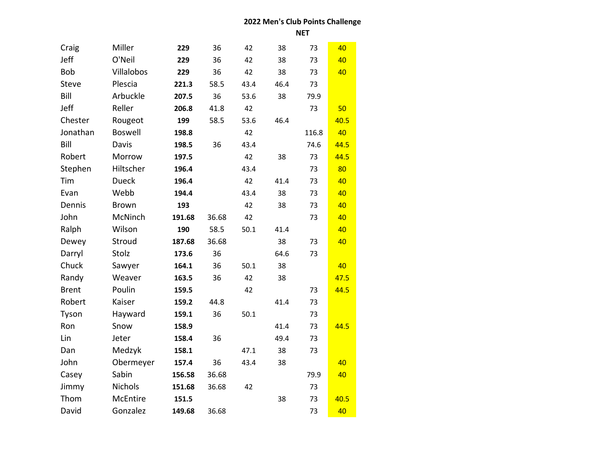**NET**

| Craig        | Miller         | 229    | 36    | 42   | 38   | 73    | 40   |
|--------------|----------------|--------|-------|------|------|-------|------|
| Jeff         | O'Neil         | 229    | 36    | 42   | 38   | 73    | 40   |
| Bob          | Villalobos     | 229    | 36    | 42   | 38   | 73    | 40   |
| <b>Steve</b> | Plescia        | 221.3  | 58.5  | 43.4 | 46.4 | 73    |      |
| Bill         | Arbuckle       | 207.5  | 36    | 53.6 | 38   | 79.9  |      |
| Jeff         | Reller         | 206.8  | 41.8  | 42   |      | 73    | 50   |
| Chester      | Rougeot        | 199    | 58.5  | 53.6 | 46.4 |       | 40.5 |
| Jonathan     | <b>Boswell</b> | 198.8  |       | 42   |      | 116.8 | 40   |
| Bill         | Davis          | 198.5  | 36    | 43.4 |      | 74.6  | 44.5 |
| Robert       | Morrow         | 197.5  |       | 42   | 38   | 73    | 44.5 |
| Stephen      | Hiltscher      | 196.4  |       | 43.4 |      | 73    | 80   |
| Tim          | <b>Dueck</b>   | 196.4  |       | 42   | 41.4 | 73    | 40   |
| Evan         | Webb           | 194.4  |       | 43.4 | 38   | 73    | 40   |
| Dennis       | <b>Brown</b>   | 193    |       | 42   | 38   | 73    | 40   |
| John         | McNinch        | 191.68 | 36.68 | 42   |      | 73    | 40   |
| Ralph        | Wilson         | 190    | 58.5  | 50.1 | 41.4 |       | 40   |
| Dewey        | Stroud         | 187.68 | 36.68 |      | 38   | 73    | 40   |
| Darryl       | Stolz          | 173.6  | 36    |      | 64.6 | 73    |      |
| Chuck        | Sawyer         | 164.1  | 36    | 50.1 | 38   |       | 40   |
| Randy        | Weaver         | 163.5  | 36    | 42   | 38   |       | 47.5 |
| <b>Brent</b> | Poulin         | 159.5  |       | 42   |      | 73    | 44.5 |
| Robert       | Kaiser         | 159.2  | 44.8  |      | 41.4 | 73    |      |
| Tyson        | Hayward        | 159.1  | 36    | 50.1 |      | 73    |      |
| Ron          | Snow           | 158.9  |       |      | 41.4 | 73    | 44.5 |
| Lin          | Jeter          | 158.4  | 36    |      | 49.4 | 73    |      |
| Dan          | Medzyk         | 158.1  |       | 47.1 | 38   | 73    |      |
| John         | Obermeyer      | 157.4  | 36    | 43.4 | 38   |       | 40   |
| Casey        | Sabin          | 156.58 | 36.68 |      |      | 79.9  | 40   |
| Jimmy        | <b>Nichols</b> | 151.68 | 36.68 | 42   |      | 73    |      |
| Thom         | McEntire       | 151.5  |       |      | 38   | 73    | 40.5 |
| David        | Gonzalez       | 149.68 | 36.68 |      |      | 73    | 40   |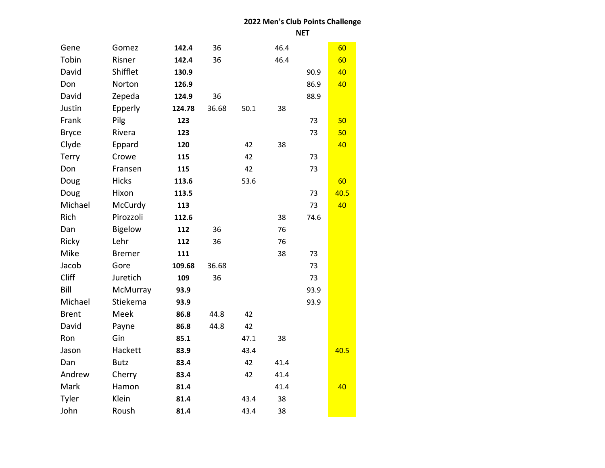**NET**

| Gene         | Gomez          | 142.4  | 36    |      | 46.4 |      | 60   |
|--------------|----------------|--------|-------|------|------|------|------|
| Tobin        | Risner         | 142.4  | 36    |      | 46.4 |      | 60   |
| David        | Shifflet       | 130.9  |       |      |      | 90.9 | 40   |
| Don          | Norton         | 126.9  |       |      |      | 86.9 | 40   |
| David        | Zepeda         | 124.9  | 36    |      |      | 88.9 |      |
| Justin       | Epperly        | 124.78 | 36.68 | 50.1 | 38   |      |      |
| Frank        | Pilg           | 123    |       |      |      | 73   | 50   |
| <b>Bryce</b> | Rivera         | 123    |       |      |      | 73   | 50   |
| Clyde        | Eppard         | 120    |       | 42   | 38   |      | 40   |
| Terry        | Crowe          | 115    |       | 42   |      | 73   |      |
| Don          | Fransen        | 115    |       | 42   |      | 73   |      |
| Doug         | <b>Hicks</b>   | 113.6  |       | 53.6 |      |      | 60   |
| Doug         | Hixon          | 113.5  |       |      |      | 73   | 40.5 |
| Michael      | McCurdy        | 113    |       |      |      | 73   | 40   |
| Rich         | Pirozzoli      | 112.6  |       |      | 38   | 74.6 |      |
| Dan          | <b>Bigelow</b> | 112    | 36    |      | 76   |      |      |
| Ricky        | Lehr           | 112    | 36    |      | 76   |      |      |
| Mike         | <b>Bremer</b>  | 111    |       |      | 38   | 73   |      |
| Jacob        | Gore           | 109.68 | 36.68 |      |      | 73   |      |
| Cliff        | Juretich       | 109    | 36    |      |      | 73   |      |
| Bill         | McMurray       | 93.9   |       |      |      | 93.9 |      |
| Michael      | Stiekema       | 93.9   |       |      |      | 93.9 |      |
| <b>Brent</b> | Meek           | 86.8   | 44.8  | 42   |      |      |      |
| David        | Payne          | 86.8   | 44.8  | 42   |      |      |      |
| Ron          | Gin            | 85.1   |       | 47.1 | 38   |      |      |
| Jason        | Hackett        | 83.9   |       | 43.4 |      |      | 40.5 |
| Dan          | <b>Butz</b>    | 83.4   |       | 42   | 41.4 |      |      |
| Andrew       | Cherry         | 83.4   |       | 42   | 41.4 |      |      |
| Mark         | Hamon          | 81.4   |       |      | 41.4 |      | 40   |
| Tyler        | Klein          | 81.4   |       | 43.4 | 38   |      |      |
| John         | Roush          | 81.4   |       | 43.4 | 38   |      |      |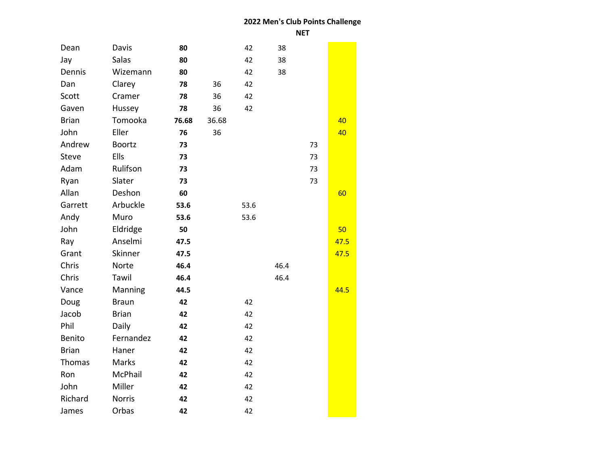| Dean         | Davis         | 80    |       | 42   | 38   |    |      |  |
|--------------|---------------|-------|-------|------|------|----|------|--|
| Jay          | Salas         | 80    |       | 42   | 38   |    |      |  |
| Dennis       | Wizemann      | 80    |       | 42   | 38   |    |      |  |
| Dan          | Clarey        | 78    | 36    | 42   |      |    |      |  |
| Scott        | Cramer        | 78    | 36    | 42   |      |    |      |  |
| Gaven        | Hussey        | 78    | 36    | 42   |      |    |      |  |
| <b>Brian</b> | Tomooka       | 76.68 | 36.68 |      |      |    | 40   |  |
| John         | Eller         | 76    | 36    |      |      |    | 40   |  |
| Andrew       | <b>Boortz</b> | 73    |       |      |      | 73 |      |  |
| Steve        | Ells          | 73    |       |      |      | 73 |      |  |
| Adam         | Rulifson      | 73    |       |      |      | 73 |      |  |
| Ryan         | Slater        | 73    |       |      |      | 73 |      |  |
| Allan        | Deshon        | 60    |       |      |      |    | 60   |  |
| Garrett      | Arbuckle      | 53.6  |       | 53.6 |      |    |      |  |
| Andy         | Muro          | 53.6  |       | 53.6 |      |    |      |  |
| John         | Eldridge      | 50    |       |      |      |    | 50   |  |
| Ray          | Anselmi       | 47.5  |       |      |      |    | 47.5 |  |
| Grant        | Skinner       | 47.5  |       |      |      |    | 47.5 |  |
| Chris        | Norte         | 46.4  |       |      | 46.4 |    |      |  |
| Chris        | Tawil         | 46.4  |       |      | 46.4 |    |      |  |
| Vance        | Manning       | 44.5  |       |      |      |    | 44.5 |  |
| Doug         | <b>Braun</b>  | 42    |       | 42   |      |    |      |  |
| Jacob        | <b>Brian</b>  | 42    |       | 42   |      |    |      |  |
| Phil         | Daily         | 42    |       | 42   |      |    |      |  |
| Benito       | Fernandez     | 42    |       | 42   |      |    |      |  |
| <b>Brian</b> | Haner         | 42    |       | 42   |      |    |      |  |
| Thomas       | Marks         | 42    |       | 42   |      |    |      |  |
| Ron          | McPhail       | 42    |       | 42   |      |    |      |  |
| John         | Miller        | 42    |       | 42   |      |    |      |  |
| Richard      | <b>Norris</b> | 42    |       | 42   |      |    |      |  |
| James        | Orbas         | 42    |       | 42   |      |    |      |  |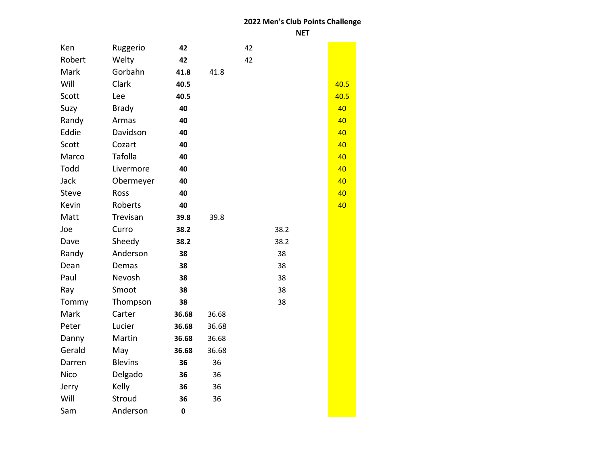| Ken         | Ruggerio       | 42          |       | 42 |      |      |
|-------------|----------------|-------------|-------|----|------|------|
| Robert      | Welty          | 42          |       | 42 |      |      |
| Mark        | Gorbahn        | 41.8        | 41.8  |    |      |      |
| Will        | Clark          | 40.5        |       |    |      | 40.5 |
| Scott       | Lee            | 40.5        |       |    |      | 40.5 |
| Suzy        | <b>Brady</b>   | 40          |       |    |      | 40   |
| Randy       | Armas          | 40          |       |    |      | 40   |
| Eddie       | Davidson       | 40          |       |    |      | 40   |
| Scott       | Cozart         | 40          |       |    |      | 40   |
| Marco       | Tafolla        | 40          |       |    |      | 40   |
| Todd        | Livermore      | 40          |       |    |      | 40   |
| Jack        | Obermeyer      | 40          |       |    |      | 40   |
| Steve       | Ross           | 40          |       |    |      | 40   |
| Kevin       | Roberts        | 40          |       |    |      | 40   |
| Matt        | Trevisan       | 39.8        | 39.8  |    |      |      |
| Joe         | Curro          | 38.2        |       |    | 38.2 |      |
| Dave        | Sheedy         | 38.2        |       |    | 38.2 |      |
| Randy       | Anderson       | 38          |       |    | 38   |      |
| Dean        | Demas          | 38          |       |    | 38   |      |
| Paul        | Nevosh         | 38          |       |    | 38   |      |
| Ray         | Smoot          | 38          |       |    | 38   |      |
| Tommy       | Thompson       | 38          |       |    | 38   |      |
| Mark        | Carter         | 36.68       | 36.68 |    |      |      |
| Peter       | Lucier         | 36.68       | 36.68 |    |      |      |
| Danny       | Martin         | 36.68       | 36.68 |    |      |      |
| Gerald      | May            | 36.68       | 36.68 |    |      |      |
| Darren      | <b>Blevins</b> | 36          | 36    |    |      |      |
| <b>Nico</b> | Delgado        | 36          | 36    |    |      |      |
| Jerry       | Kelly          | 36          | 36    |    |      |      |
| Will        | Stroud         | 36          | 36    |    |      |      |
| Sam         | Anderson       | $\mathbf 0$ |       |    |      |      |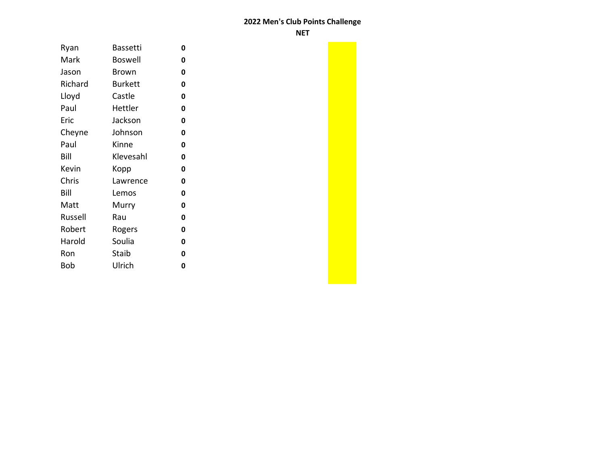**NET**

| Ryan    | <b>Bassetti</b> | 0 |
|---------|-----------------|---|
| Mark    | <b>Boswell</b>  | 0 |
| Jason   | Brown           | 0 |
| Richard | <b>Burkett</b>  | 0 |
| Lloyd   | Castle          | 0 |
| Paul    | Hettler         | 0 |
| Eric    | Jackson         | 0 |
| Cheyne  | Johnson         | 0 |
| Paul    | Kinne           | 0 |
| Bill    | Klevesahl       | 0 |
| Kevin   | Kopp            | 0 |
| Chris   | Lawrence        | 0 |
| Bill    | Lemos           | 0 |
| Matt    | Murry           | 0 |
| Russell | Rau             | 0 |
| Robert  | Rogers          | 0 |
| Harold  | Soulia          | 0 |
| Ron     | Staib           | 0 |
| Bob     | Ulrich          | 0 |